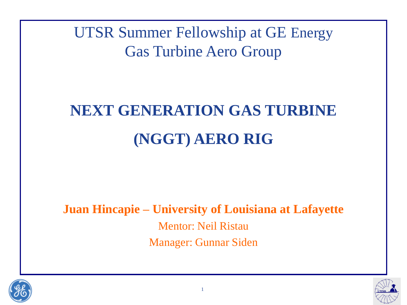UTSR Summer Fellowship at GE Energy Gas Turbine Aero Group

# **NEXT GENERATION GAS TURBINE (NGGT) AERO RIG**

**Juan Hincapie – University of Louisiana at Lafayette** Mentor: Neil Ristau Manager: Gunnar Siden



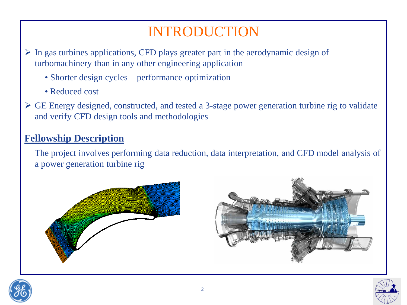### INTRODUCTION

 In gas turbines applications, CFD plays greater part in the aerodynamic design of turbomachinery than in any other engineering application

- Shorter design cycles performance optimization
- Reduced cost
- GE Energy designed, constructed, and tested a 3-stage power generation turbine rig to validate and verify CFD design tools and methodologies

#### **Fellowship Description**

The project involves performing data reduction, data interpretation, and CFD model analysis of a power generation turbine rig







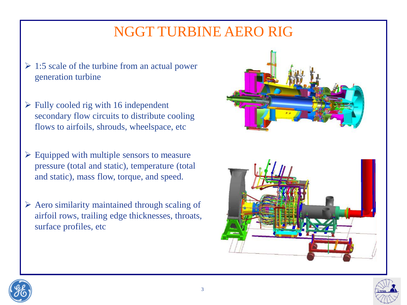### NGGT TURBINE AERO RIG

- $\geq 1:5$  scale of the turbine from an actual power generation turbine
- $\triangleright$  Fully cooled rig with 16 independent secondary flow circuits to distribute cooling flows to airfoils, shrouds, wheelspace, etc
- $\triangleright$  Equipped with multiple sensors to measure pressure (total and static), temperature (total and static), mass flow, torque, and speed.
- $\triangleright$  Aero similarity maintained through scaling of airfoil rows, trailing edge thicknesses, throats, surface profiles, etc







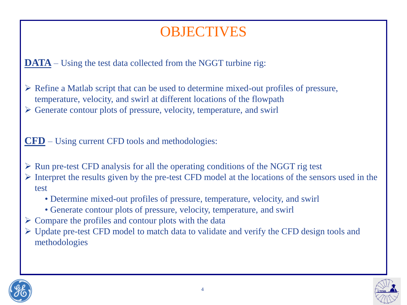### **OBJECTIVES**

**DATA** – Using the test data collected from the NGGT turbine rig:

 $\triangleright$  Refine a Matlab script that can be used to determine mixed-out profiles of pressure, temperature, velocity, and swirl at different locations of the flowpath

Generate contour plots of pressure, velocity, temperature, and swirl

**CFD** – Using current CFD tools and methodologies:

- $\triangleright$  Run pre-test CFD analysis for all the operating conditions of the NGGT rig test
- $\triangleright$  Interpret the results given by the pre-test CFD model at the locations of the sensors used in the test
	- Determine mixed-out profiles of pressure, temperature, velocity, and swirl
	- Generate contour plots of pressure, velocity, temperature, and swirl
- Compare the profiles and contour plots with the data
- Update pre-test CFD model to match data to validate and verify the CFD design tools and methodologies



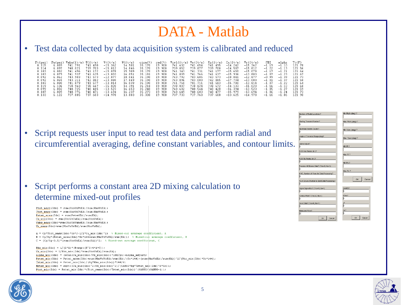### DATA - Matlab

#### • Test data collected by data acquisition system is calibrated and reduced

| 6.089<br>16.237<br>35.273<br>8.107<br>740.776<br>19.900<br>740.649<br>740.603<br>740.<br>.477<br>$-15.979$<br>$-13.694$<br>740.471<br>$-1.06$<br>$-13.694$<br>$-1.24$<br>737.733<br>737.760<br>13.883<br>19.900<br>737.608<br>6.122<br>35.300<br>$-14.978$<br>$-13.625$<br>$-14.978$<br>8.133<br>737.885<br>737.603<br>$-1.16$<br>$-1.06$ | Pt(psi<br>8.115<br>8.114<br>8.103<br>8.103<br>8.092<br>8.092<br>8 1 8 3<br>8 1 1 9<br>8.099 | Ps(psi)<br>6.089<br>6.097<br>6.082<br>6.079<br>6.062<br>6.065<br>6.080<br>6 106<br>6.082 | Vabs(tt/s)<br>741<br>791<br>740.021<br>741.496<br>.937<br>741.<br>743.903<br>743.211<br>741 879<br>738 968<br>725<br>740. | U(ft⁄s)<br>741.490<br>739.703<br>741.172<br>741.635<br>743.573<br>742.882<br>741.577<br>738.667<br>740.415 | V(f t/s)<br>$-15.362$<br>$-15.812$<br>$-15.078$<br>$-13.803$<br>$-12.877$<br>$-13.080$<br>$-13.814$<br>$-15.020$<br>$-13.523$ | V(t t/s)<br>14.501<br>14.846<br>15.909<br>16.051<br>18.041<br>17.849<br>16.039<br>14.391<br>16.653 | cirm(X)<br>35.170<br>35.170<br>35.170<br>35.181<br>35.190<br>35.190<br>35 190<br>35 218<br>35.240 | rad(%)<br>19.900<br>19.900<br>19.900<br>19.900<br>19.900<br>19.900<br>19.900<br>19 9NN<br>19.900 | Vcvl(ft/s) Vm(ft/s)<br>741.632<br>739.852<br>741.343<br>741.809<br>743.792<br>743.096<br>741.750<br>738.807<br>740.602 | .654<br>741<br>739.877<br>. 331<br>741<br>.766<br>741<br>743.685<br>743.000<br>741.711<br>738 824<br>740.544 | Uz(ft/s)<br>741<br>. 495<br>739.708<br>741<br>. 177<br>741<br>.637<br>743.573<br>742.885<br>741.583<br>738 672<br>740.<br>.420 | Cu(ft/s)<br>$-14.242$<br>$-14.587$<br>$-15.650$<br>$-15.936$<br>$-18.041$<br>$-17.704$<br>$-15.780$<br>$-14.133$<br>$-16.394$ | $\text{Vr}(\text{ft/s})$<br>$-15.362$<br>$-15.812$<br>$-15.078$<br>$-13.803$<br>$-12.877$<br>$-13.080$<br>$-13.814$<br>$-15.020$<br>$-13.523$ | PHI<br>$-1.19$<br>$-1.22$<br>$-1.17$<br>$-1.07$<br>$-0.99$<br>$-1.01$<br>$-1$ 07<br>$-1, 16$<br>$-1.05$ | alphz<br>$-1.10$<br>$-1.13$<br>$-1$<br>$-1.23$<br>$-1.39$<br>$-1.37$<br>$-1, 22$<br>$-1, 10$<br>$-1.27$ | Tt (F)<br>121.78<br>121.56<br>121.64<br>121.67<br>121.73<br>121.58<br>121 64<br>121 68<br>121.59<br>121.73<br>121.90 |
|-------------------------------------------------------------------------------------------------------------------------------------------------------------------------------------------------------------------------------------------------------------------------------------------------------------------------------------------|---------------------------------------------------------------------------------------------|------------------------------------------------------------------------------------------|---------------------------------------------------------------------------------------------------------------------------|------------------------------------------------------------------------------------------------------------|-------------------------------------------------------------------------------------------------------------------------------|----------------------------------------------------------------------------------------------------|---------------------------------------------------------------------------------------------------|--------------------------------------------------------------------------------------------------|------------------------------------------------------------------------------------------------------------------------|--------------------------------------------------------------------------------------------------------------|--------------------------------------------------------------------------------------------------------------------------------|-------------------------------------------------------------------------------------------------------------------------------|-----------------------------------------------------------------------------------------------------------------------------------------------|---------------------------------------------------------------------------------------------------------|---------------------------------------------------------------------------------------------------------|----------------------------------------------------------------------------------------------------------------------|
|-------------------------------------------------------------------------------------------------------------------------------------------------------------------------------------------------------------------------------------------------------------------------------------------------------------------------------------------|---------------------------------------------------------------------------------------------|------------------------------------------------------------------------------------------|---------------------------------------------------------------------------------------------------------------------------|------------------------------------------------------------------------------------------------------------|-------------------------------------------------------------------------------------------------------------------------------|----------------------------------------------------------------------------------------------------|---------------------------------------------------------------------------------------------------|--------------------------------------------------------------------------------------------------|------------------------------------------------------------------------------------------------------------------------|--------------------------------------------------------------------------------------------------------------|--------------------------------------------------------------------------------------------------------------------------------|-------------------------------------------------------------------------------------------------------------------------------|-----------------------------------------------------------------------------------------------------------------------------------------------|---------------------------------------------------------------------------------------------------------|---------------------------------------------------------------------------------------------------------|----------------------------------------------------------------------------------------------------------------------|

Script requests user input to read test data and perform radial and circumferential averaging, define constant variables, and contour limits.

• Script performs a constant area 2D mixing calculation to determine mixed-out profiles

Ptot mass (Idx) = sum (RhoVzPtEA) / sum (RhoVzEA) ; Ttot mass (Idx) = sum (RhoVzTtEA) / sum (RhoVzEA) ; Pstat area (Idx) =  $sum(FstateEA)/sum(EA)$ ; Cu mix (Idx) = sum (RhoVzCuEA) / sum (RhoVzEA) ; Vabs mass (Idx) = sum (RhoVzVabsEA) / sum (RhoVzEA) ; Vr mass (Idx) = sum (RhoVzVrEA) / sum (RhoVzEA) ;

 $\lambda$  = Cp\*Ttot mass(Idx)\*Gc\*J-1/2\*Cu mix(Idx)^2; % Mixed-out average coefficient,  $\lambda$  $B = Cp/Rg*$  (Pstat area (Idx) \*Gc\*144+sum (RhoVzVzEA) / sum (EA) ) : % Mixed-out average coefficient, B  $C = (Cp/kg-0.5) * (sum(Rh0VzEA)/sum(EA))^2$ ; \* Hixed-out average coefficient, C Rho mix (Idx) =  $1/(2 * A) * (B + sqrt(B * 2 - 4 * A * C))$ ;

 $\mathtt{Vz\_mix}\left(\mathtt{Idx}\right) \ = \ 1/\mathtt{Rho\_mix}\left(\mathtt{Idx}\right)\ast \mathtt{sum}\left(\mathtt{RhoVzEA}\right)/\mathtt{sum}\left(\mathtt{EA}\right)\,;$  $\label{eq:Alphat} \underline{\text{Alpha}\ \text{mix}}\,(\text{Idx})\ =\ (\text{atan}\,(\text{Cu}\ \text{mix}\,(\text{Idx})\,/\text{Vz}\_\text{mix}\,(\text{Idx})\,)^*180/\text{pi}) + \text{alpha\_adjust}\,;$  $\texttt{Pstat\_mix}(\texttt{Idx}) = \texttt{Pstat\_area}(\texttt{Idx}) + \texttt{sum}(\texttt{RhoVzVzEk}) / \texttt{sum}(\texttt{EA}) / (\texttt{Gc*144}) - (\texttt{sum}(\texttt{RhoVzEk}) / \texttt{sum}(\texttt{EA})) \texttt{?2} / (\texttt{Rho\_mix}(\texttt{Idx}) * \texttt{Gc*144})$ Tstat mix(Idx) = Pstat mix(Idx)/(Rg\*Rho mix(Idx))\*144/J;  $\underline{\mathtt{Mstat\_mix}}\left(\mathtt{Idx}\right) \;=\; \mathtt{sqrt}\left(\left(\mathtt{Cu\_mix}\left(\mathtt{Idx}\right){}^{\wedge}2{}+Vz\_mix\left(\mathtt{Idx}\right){}^{\wedge}2\right) / \left(\mathtt{GAMSO}^{\wedge}\mathtt{Rg}^{\wedge}\mathtt{Tstat\_mix}\left(\mathtt{Idx}\right){}^{\wedge}\mathtt{d}^{\wedge}\mathtt{Gc}\right)\right),$ Ptot mix (Idx) = Pstat mix (Idx) \* (Ttot mass (Idx) / Tstat mix (Idx) ) ^ (GAM50/(GAM50-1) ) ;



| Number of Radial Locations?                          | Min Pitch (deg) ?   |
|------------------------------------------------------|---------------------|
| <b>lot</b>                                           |                     |
| Starting Transient Number?<br>þ                      | Max Pitch (deg)?    |
| Upstream Nozzle Counts?<br>h                         | Min Yaw (deg)?      |
| Angle of Traverse Range (deg)?<br>b                  | Max Yaw (deg) ?     |
| Alpha Adjust?<br>ю                                   | Min Pt?             |
| PL50 Hub Radius (in.)?<br>b                          | Max Pt?             |
| PL50 Tip Radius (in.)?<br>h                          | Min Ps?             |
| Process All Circum. Data? (Yes=0, No=1)<br>þ         | Max Ps?             |
| If NO, Number of Vane for Data Processing?<br>b      | OK.<br>Cancel       |
| % of Circum. Position to Start Data Processing?<br>b |                     |
| Signal Dignostics? (Yes=0, No=1)<br>b                | GAM50?<br>ю         |
| Contour Plots? (Yes=0, No=1)<br>þ                    | RGas?<br>'n         |
| Save Data? (Yes=0, No=1)<br>b                        | J?<br>b             |
| Measured Flow?<br>Ы                                  | Gc?<br>b            |
| OK.<br>Cancel                                        | <b>OK</b><br>Concel |

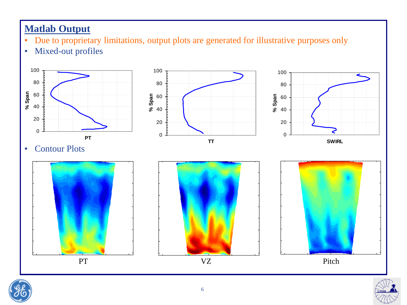#### **Matlab Output**

- Due to proprietary limitations, output plots are generated for illustrative purposes only
- Mixed-out profiles





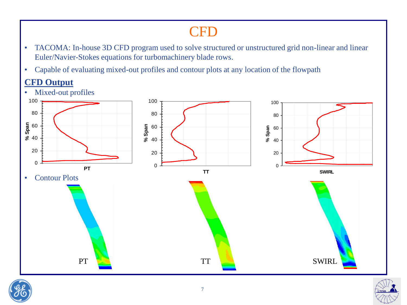### **CFD**

- TACOMA: In-house 3D CFD program used to solve structured or unstructured grid non-linear and linear Euler/Navier-Stokes equations for turbomachinery blade rows.
- Capable of evaluating mixed-out profiles and contour plots at any location of the flowpath

#### **CFD Output**





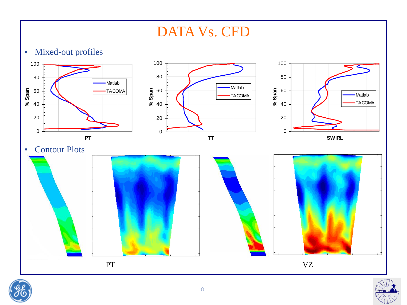### DATA Vs. CFD





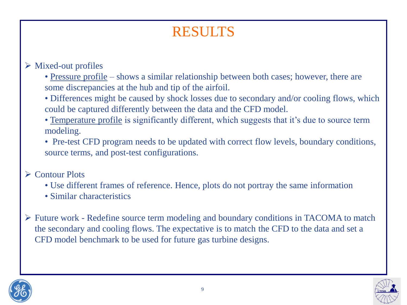### RESULTS

#### Mixed-out profiles

• Pressure profile – shows a similar relationship between both cases; however, there are some discrepancies at the hub and tip of the airfoil.

- Differences might be caused by shock losses due to secondary and/or cooling flows, which could be captured differently between the data and the CFD model.
- Temperature profile is significantly different, which suggests that it's due to source term modeling.
- Pre-test CFD program needs to be updated with correct flow levels, boundary conditions, source terms, and post-test configurations.

#### **► Contour Plots**

- Use different frames of reference. Hence, plots do not portray the same information
- Similar characteristics
- Future work Redefine source term modeling and boundary conditions in TACOMA to match the secondary and cooling flows. The expectative is to match the CFD to the data and set a CFD model benchmark to be used for future gas turbine designs.



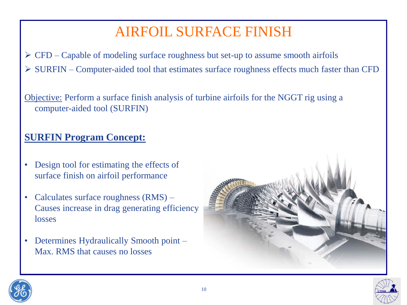### AIRFOIL SURFACE FINISH

 $\triangleright$  CFD – Capable of modeling surface roughness but set-up to assume smooth airfoils

SURFIN – Computer-aided tool that estimates surface roughness effects much faster than CFD

Objective: Perform a surface finish analysis of turbine airfoils for the NGGT rig using a computer-aided tool (SURFIN)

#### **SURFIN Program Concept:**

- Design tool for estimating the effects of surface finish on airfoil performance
- Calculates surface roughness  $(RMS)$  Causes increase in drag generating efficiency losses
- Determines Hydraulically Smooth point Max. RMS that causes no losses



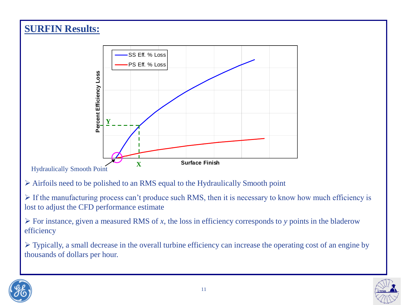#### **SURFIN Results:**



Hydraulically Smooth Point

- Airfoils need to be polished to an RMS equal to the Hydraulically Smooth point
- $\triangleright$  If the manufacturing process can't produce such RMS, then it is necessary to know how much efficiency is lost to adjust the CFD performance estimate
- $\triangleright$  For instance, given a measured RMS of *x*, the loss in efficiency corresponds to *y* points in the bladerow efficiency

 Typically, a small decrease in the overall turbine efficiency can increase the operating cost of an engine by thousands of dollars per hour.